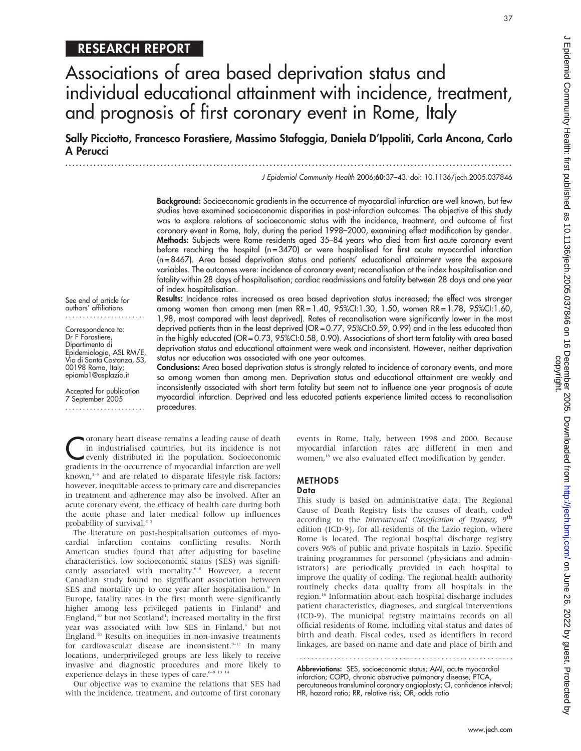# RESEARCH REPORT

Associations of area based deprivation status and individual educational attainment with incidence, treatment, and prognosis of first coronary event in Rome, Italy

Sally Picciotto, Francesco Forastiere, Massimo Stafoggia, Daniela D'Ippoliti, Carla Ancona, Carlo A Perucci

J Epidemiol Community Health 2006;60:37–43. doi: 10.1136/jech.2005.037846

...............................................................................................................................

Background: Socioeconomic gradients in the occurrence of myocardial infarction are well known, but few studies have examined socioeconomic disparities in post-infarction outcomes. The objective of this study was to explore relations of socioeconomic status with the incidence, treatment, and outcome of first coronary event in Rome, Italy, during the period 1998–2000, examining effect modification by gender. Methods: Subjects were Rome residents aged 35–84 years who died from first acute coronary event before reaching the hospital (n = 3470) or were hospitalised for first acute myocardial infarction (n = 8467). Area based deprivation status and patients' educational attainment were the exposure variables. The outcomes were: incidence of coronary event; recanalisation at the index hospitalisation and fatality within 28 days of hospitalisation; cardiac readmissions and fatality between 28 days and one year of index hospitalisation. Results: Incidence rates increased as area based deprivation status increased; the effect was stronger

See end of article for authors' affiliations .......................

Correspondence to: Dr F Forastiere, Dipartimento di Epidemiologia, ASL RM/E, Via di Santa Costanza, 53, 00198 Roma, Italy; epiamb1@asplazio.it

Accepted for publication 7 September 2005 .......................

deprived patients than in the least deprived (OR = 0.77, 95%CI:0.59, 0.99) and in the less educated than in the highly educated (OR = 0.73, 95%CI:0.58, 0.90). Associations of short term fatality with area based deprivation status and educational attainment were weak and inconsistent. However, neither deprivation status nor education was associated with one year outcomes. Conclusions: Area based deprivation status is strongly related to incidence of coronary events, and more

among women than among men (men RR = 1.40, 95%CI:1.30, 1.50, women RR = 1.78, 95%CI:1.60, 1.98, most compared with least deprived). Rates of recanalisation were significantly lower in the most

so among women than among men. Deprivation status and educational attainment are weakly and inconsistently associated with short term fatality but seem not to influence one year prognosis of acute myocardial infarction. Deprived and less educated patients experience limited access to recanalisation procedures.

Coronary heart disease remains a leading cause of death<br>in industrialised countries, but its incidence is not<br>evenly distributed in the population. Socioeconomic<br>gradients in the occurrence of muceordial infection are well in industrialised countries, but its incidence is not gradients in the occurrence of myocardial infarction are well known,<sup>1-3</sup> and are related to disparate lifestyle risk factors; however, inequitable access to primary care and discrepancies in treatment and adherence may also be involved. After an acute coronary event, the efficacy of health care during both the acute phase and later medical follow up influences probability of survival.<sup>45</sup>

The literature on post-hospitalisation outcomes of myocardial infarction contains conflicting results. North American studies found that after adjusting for baseline characteristics, low socioeconomic status (SES) was significantly associated with mortality.<sup>6-8</sup> However, a recent Canadian study found no significant association between SES and mortality up to one year after hospitalisation.<sup>9</sup> In Europe, fatality rates in the first month were significantly higher among less privileged patients in Finland<sup>3</sup> and England,<sup>10</sup> but not Scotland<sup>1</sup>; increased mortality in the first year was associated with low SES in Finland,<sup>3</sup> but not England.10 Results on inequities in non-invasive treatments for cardiovascular disease are inconsistent.<sup>9-12</sup> In many locations, underprivileged groups are less likely to receive invasive and diagnostic procedures and more likely to experience delays in these types of care.<sup>6-8 13</sup> <sup>14</sup>

Our objective was to examine the relations that SES had with the incidence, treatment, and outcome of first coronary events in Rome, Italy, between 1998 and 2000. Because myocardial infarction rates are different in men and women,<sup>15</sup> we also evaluated effect modification by gender.

#### METHODS Data

This study is based on administrative data. The Regional Cause of Death Registry lists the causes of death, coded according to the International Classification of Diseases, 9<sup>th</sup> edition (ICD-9), for all residents of the Lazio region, where Rome is located. The regional hospital discharge registry covers 96% of public and private hospitals in Lazio. Specific training programmes for personnel (physicians and administrators) are periodically provided in each hospital to improve the quality of coding. The regional health authority routinely checks data quality from all hospitals in the region.<sup>16</sup> Information about each hospital discharge includes patient characteristics, diagnoses, and surgical interventions (ICD-9). The municipal registry maintains records on all official residents of Rome, including vital status and dates of birth and death. Fiscal codes, used as identifiers in record linkages, are based on name and date and place of birth and

Abbreviations: SES, socioeconomic status; AMI, acute myocardial infarction; COPD, chronic obstructive pulmonary disease; PTCA, percutaneous transluminal coronary angioplasty; CI, confidence interval; HR, hazard ratio; RR, relative risk; OR, odds ratio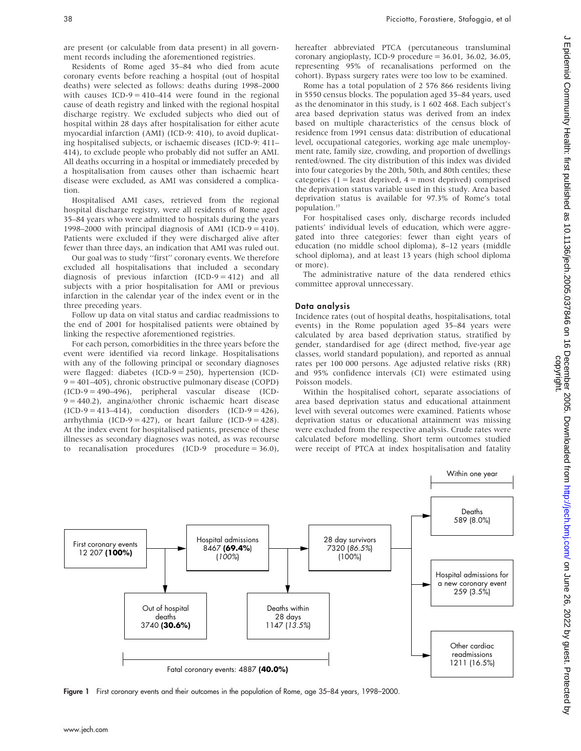are present (or calculable from data present) in all government records including the aforementioned registries.

Residents of Rome aged 35–84 who died from acute coronary events before reaching a hospital (out of hospital deaths) were selected as follows: deaths during 1998–2000 with causes  $ICD-9 = 410-414$  were found in the regional cause of death registry and linked with the regional hospital discharge registry. We excluded subjects who died out of hospital within 28 days after hospitalisation for either acute myocardial infarction (AMI) (ICD-9: 410), to avoid duplicating hospitalised subjects, or ischaemic diseases (ICD-9: 411– 414), to exclude people who probably did not suffer an AMI. All deaths occurring in a hospital or immediately preceded by a hospitalisation from causes other than ischaemic heart disease were excluded, as AMI was considered a complication.

Hospitalised AMI cases, retrieved from the regional hospital discharge registry, were all residents of Rome aged 35–84 years who were admitted to hospitals during the years 1998–2000 with principal diagnosis of AMI (ICD-9 = 410). Patients were excluded if they were discharged alive after fewer than three days, an indication that AMI was ruled out.

Our goal was to study ''first'' coronary events. We therefore excluded all hospitalisations that included a secondary diagnosis of previous infarction (ICD-9 = 412) and all subjects with a prior hospitalisation for AMI or previous infarction in the calendar year of the index event or in the three preceding years.

Follow up data on vital status and cardiac readmissions to the end of 2001 for hospitalised patients were obtained by linking the respective aforementioned registries.

For each person, comorbidities in the three years before the event were identified via record linkage. Hospitalisations with any of the following principal or secondary diagnoses were flagged: diabetes (ICD-9 = 250), hypertension (ICD-9 = 401–405), chronic obstructive pulmonary disease (COPD) (ICD-9 = 490–496), peripheral vascular disease (ICD-9 = 440.2), angina/other chronic ischaemic heart disease  $(ICD-9 = 413-414)$ , conduction disorders  $(ICD-9 = 426)$ , arrhythmia (ICD-9 = 427), or heart failure (ICD-9 = 428). At the index event for hospitalised patients, presence of these illnesses as secondary diagnoses was noted, as was recourse to recanalisation procedures (ICD-9 procedure = 36.0),

hereafter abbreviated PTCA (percutaneous transluminal coronary angioplasty, ICD-9 procedure = 36.01, 36.02, 36.05, representing 95% of recanalisations performed on the cohort). Bypass surgery rates were too low to be examined.

Rome has a total population of 2 576 866 residents living in 5550 census blocks. The population aged 35–84 years, used as the denominator in this study, is 1 602 468. Each subject's area based deprivation status was derived from an index based on multiple characteristics of the census block of residence from 1991 census data: distribution of educational level, occupational categories, working age male unemployment rate, family size, crowding, and proportion of dwellings rented/owned. The city distribution of this index was divided into four categories by the 20th, 50th, and 80th centiles; these categories ( $1 =$  least deprived,  $4 =$  most deprived) comprised the deprivation status variable used in this study. Area based deprivation status is available for 97.3% of Rome's total population.<sup>17</sup>

For hospitalised cases only, discharge records included patients' individual levels of education, which were aggregated into three categories: fewer than eight years of education (no middle school diploma), 8–12 years (middle school diploma), and at least 13 years (high school diploma or more).

The administrative nature of the data rendered ethics committee approval unnecessary.

#### Data analysis

Incidence rates (out of hospital deaths, hospitalisations, total events) in the Rome population aged 35–84 years were calculated by area based deprivation status, stratified by gender, standardised for age (direct method, five-year age classes, world standard population), and reported as annual rates per 100 000 persons. Age adjusted relative risks (RR) and 95% confidence intervals (CI) were estimated using Poisson models.

Within the hospitalised cohort, separate associations of area based deprivation status and educational attainment level with several outcomes were examined. Patients whose deprivation status or educational attainment was missing were excluded from the respective analysis. Crude rates were calculated before modelling. Short term outcomes studied were receipt of PTCA at index hospitalisation and fatality



Figure 1 First coronary events and their outcomes in the population of Rome, age 35-84 years, 1998-2000.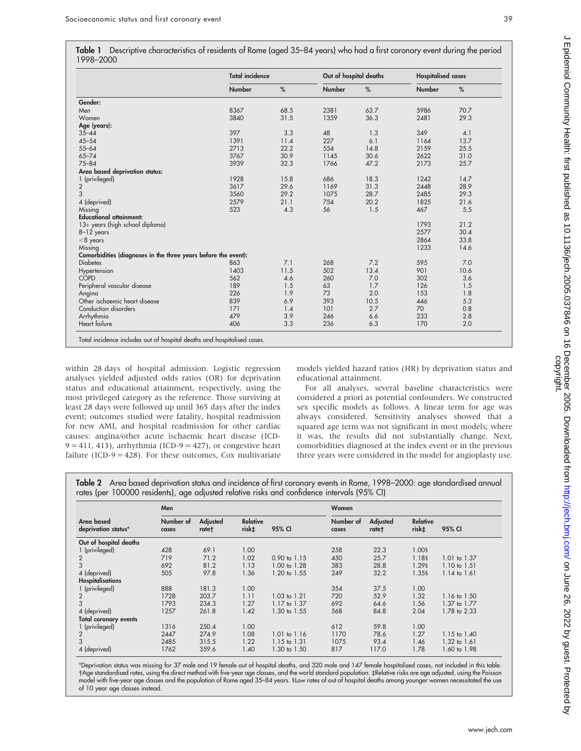|           | Table 1 Descriptive characteristics of residents of Rome (aged 35–84 years) who had a first coronary event during the period |  |  |
|-----------|------------------------------------------------------------------------------------------------------------------------------|--|--|
| 1998-2000 |                                                                                                                              |  |  |

|                                                                | <b>Total incidence</b> |      | Out of hospital deaths |      | <b>Hospitalised cases</b> |      |
|----------------------------------------------------------------|------------------------|------|------------------------|------|---------------------------|------|
|                                                                | Number                 | %    | <b>Number</b>          | %    | <b>Number</b>             | %    |
| Gender:                                                        |                        |      |                        |      |                           |      |
| Men                                                            | 8367                   | 68.5 | 2381                   | 63.7 | 5986                      | 70.7 |
| Women                                                          | 3840                   | 31.5 | 1359                   | 36.3 | 2481                      | 29.3 |
| Age (years):                                                   |                        |      |                        |      |                           |      |
| $35 - 44$                                                      | 397                    | 3.3  | 48                     | 1.3  | 349                       | 4.1  |
| $45 - 54$                                                      | 1391                   | 11.4 | 227                    | 6.1  | 1164                      | 13.7 |
| $55 - 64$                                                      | 2713                   | 22.2 | 554                    | 14.8 | 2159                      | 25.5 |
| $65 - 74$                                                      | 3767                   | 30.9 | 1145                   | 30.6 | 2622                      | 31.0 |
| $75 - 84$                                                      | 3939                   | 32.3 | 1766                   | 47.2 | 2173                      | 25.7 |
| Area based deprivation status:                                 |                        |      |                        |      |                           |      |
| 1 (privileged)                                                 | 1928                   | 15.8 | 686                    | 18.3 | 1242                      | 14.7 |
| $\overline{2}$                                                 | 3617                   | 29.6 | 1169                   | 31.3 | 2448                      | 28.9 |
| 3                                                              | 3560                   | 29.2 | 1075                   | 28.7 | 2485                      | 29.3 |
| 4 (deprived)                                                   | 2579                   | 21.1 | 754                    | 20.2 | 1825                      | 21.6 |
| Missing                                                        | 523                    | 4.3  | 56                     | 1.5  | 467                       | 5.5  |
| <b>Educational attainment:</b>                                 |                        |      |                        |      |                           |      |
| 13+ years (high school diploma)                                |                        |      |                        |      | 1793                      | 21.2 |
| 8-12 years                                                     |                        |      |                        |      | 2577                      | 30.4 |
| $<$ 8 years                                                    |                        |      |                        |      | 2864                      | 33.8 |
| Missing                                                        |                        |      |                        |      | 1233                      | 14.6 |
| Comorbidities (diagnoses in the three years before the event): |                        |      |                        |      |                           |      |
| <b>Diabetes</b>                                                | 863                    | 7.1  | 268                    | 7.2  | 595                       | 7.0  |
| Hypertension                                                   | 1403                   | 11.5 | 502                    | 13.4 | 901                       | 10.6 |
| <b>COPD</b>                                                    | 562                    | 4.6  | 260                    | 7.0  | 302                       | 3.6  |
| Peripheral vascular disease                                    | 189                    | 1.5  | 63                     | 1.7  | 126                       | 1.5  |
| Angina                                                         | 226                    | 1.9  | 73                     | 2.0  | 153                       | 1.8  |
| Other ischaemic heart disease                                  | 839                    | 6.9  | 393                    | 10.5 | 446                       | 5.3  |
| Conduction disorders                                           | 171                    | 1.4  | 101                    | 2.7  | 70                        | 0.8  |
| Arrhythmia                                                     | 479                    | 3.9  | 246                    | 6.6  | 233                       | 2.8  |
| Heart failure                                                  | 406                    | 3.3  | 236                    | 6.3  | 170                       | 2.0  |

Total incidence includes out of hospital deaths and hospitalised cases.

within 28 days of hospital admission. Logistic regression analyses yielded adjusted odds ratios (OR) for deprivation status and educational attainment, respectively, using the most privileged category as the reference. Those surviving at least 28 days were followed up until 365 days after the index event; outcomes studied were fatality, hospital readmission for new AMI, and hospital readmission for other cardiac causes: angina/other acute ischaemic heart disease (ICD- $9 = 411, 413$ , arrhythmia (ICD- $9 = 427$ ), or congestive heart failure (ICD-9 =  $428$ ). For these outcomes, Cox multivariate

models yielded hazard ratios (HR) by deprivation status and educational attainment.

For all analyses, several baseline characteristics were considered a priori as potential confounders. We constructed sex specific models as follows. A linear term for age was always considered. Sensitivity analyses showed that a squared age term was not significant in most models; where it was, the results did not substantially change. Next, comorbidities diagnosed at the index event or in the previous three years were considered in the model for angioplasty use.

Table 2 Area based deprivation status and incidence of first coronary events in Rome, 1998–2000: age standardised annual rates (per 100000 residents), age adjusted relative risks and confidence intervals (95% CI)

|                                   | Men                |                   |                                      |                         | Women              |                   |                          |                         |  |  |  |
|-----------------------------------|--------------------|-------------------|--------------------------------------|-------------------------|--------------------|-------------------|--------------------------|-------------------------|--|--|--|
| Area based<br>deprivation status* | Number of<br>cases | Adjusted<br>rate† | <b>Relative</b><br>risk <sup>±</sup> | 95% CI                  | Number of<br>cases | Adjusted<br>rate+ | <b>Relative</b><br>risk‡ | 95% CI                  |  |  |  |
| Out of hospital deaths            |                    |                   |                                      |                         |                    |                   |                          |                         |  |  |  |
| 1 (privileged)                    | 428                | 69.1              | 1.00                                 |                         | 258                | 22.3              | 1.00§                    |                         |  |  |  |
| 2                                 | 719                | 71.2              | 1.02                                 | $0.90 \text{ to } 1.15$ | 450                | 25.7              | 1.18§                    | 1.01 to 1.37            |  |  |  |
| 3                                 | 692                | 81.2              | 1.13                                 | 1.00 to 1.28            | 383                | 28.8              | 1.29§                    | $1.10 \text{ to } 1.51$ |  |  |  |
| 4 (deprived)                      | 505                | 97.8              | 1.36                                 | 1.20 to 1.55            | 249                | 32.2              | 1.35§                    | $1.14$ to $1.61$        |  |  |  |
| <b>Hospitalisations</b>           |                    |                   |                                      |                         |                    |                   |                          |                         |  |  |  |
| 1 (privileged)                    | 888                | 181.3             | 1.00                                 |                         | 354                | 37.5              | 1.00                     |                         |  |  |  |
| 2                                 | 1728               | 203.7             | 1.11                                 | $1.03$ to $1.21$        | 720                | 52.9              | 1.32                     | 1.16 to 1.50            |  |  |  |
| 3                                 | 1793               | 234.3             | 1.27                                 | 1.17 to 1.37            | 692                | 64.6              | 1.56                     | 1.37 to 1.77            |  |  |  |
| 4 (deprived)                      | 1257               | 261.8             | 1.42                                 | 1.30 to 1.55            | 568                | 84.8              | 2.04                     | 1.78 to 2.33            |  |  |  |
| <b>Total coronary events</b>      |                    |                   |                                      |                         |                    |                   |                          |                         |  |  |  |
| 1 (privileged)                    | 1316               | 250.4             | 1.00                                 |                         | 612                | 59.8              | 1.00                     |                         |  |  |  |
|                                   | 2447               | 274.9             | 1.08                                 | 1.01 to 1.16            | 1170               | 78.6              | 1.27                     | 1.15 to 1.40            |  |  |  |
|                                   | 2485               | 315.5             | 1.22                                 | $1.15$ to $1.31$        | 1075               | 93.4              | 1.46                     | 1.32 to 1.61            |  |  |  |
| 4 (deprived)                      | 1762               | 359.6             | 1.40                                 | 1.30 to 1.50            | 817                | 117.0             | 1.78                     | 1.60 to 1.98            |  |  |  |

\*Deprivation status was missing for 37 male and 19 female out of hospital deaths, and 320 male and 147 female hospitalised cases, not included in this table. Age standardised rates, using the direct method with five-year age classes, and the world standard population. `Relative risks are age adjusted, using the Poisson model with five-year age classes and the population of Rome aged 35–84 years. SLow rates of out of hospital deaths among younger women necessitated the use of 10 year age classes instead.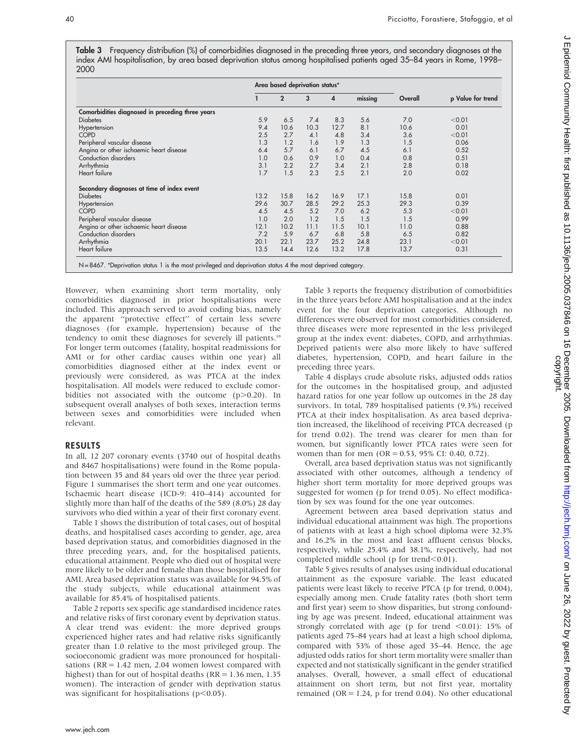Table 3 Frequency distribution (%) of comorbidities diagnosed in the preceding three years, and secondary diagnoses at the index AMI hospitalisation, by area based deprivation status among hospitalised patients aged 35–84 years in Rome, 1998– 2000

|                                                  |      |                | Area based deprivation status* |      |         |         |                   |
|--------------------------------------------------|------|----------------|--------------------------------|------|---------|---------|-------------------|
|                                                  |      | $\overline{2}$ | 3                              | 4    | missing | Overall | p Value for trend |
| Comorbidities diagnosed in preceding three years |      |                |                                |      |         |         |                   |
| <b>Diabetes</b>                                  | 5.9  | 6.5            | 7.4                            | 8.3  | 5.6     | 7.0     | < 0.01            |
| Hypertension                                     | 9.4  | 10.6           | 10.3                           | 12.7 | 8.1     | 10.6    | 0.01              |
| <b>COPD</b>                                      | 2.5  | 2.7            | 4.1                            | 4.8  | 3.4     | 3.6     | < 0.01            |
| Peripheral vascular disease                      | 1.3  | 1.2            | 1.6                            | 1.9  | 1.3     | 1.5     | 0.06              |
| Angina or other ischaemic heart disease          | 6.4  | 5.7            | 6.1                            | 6.7  | 4.5     | 6.1     | 0.52              |
| Conduction disorders                             | 1.0  | 0.6            | 0.9                            | 1.0  | 0.4     | 0.8     | 0.51              |
| Arrhythmia                                       | 3.1  | 2.2            | 2.7                            | 3.4  | 2.1     | 2.8     | 0.18              |
| Heart failure                                    | 1.7  | 1.5            | 2.3                            | 2.5  | 2.1     | 2.0     | 0.02              |
| Secondary diagnoses at time of index event       |      |                |                                |      |         |         |                   |
| <b>Diabetes</b>                                  | 13.2 | 15.8           | 16.2                           | 16.9 | 17.1    | 15.8    | 0.01              |
| Hypertension                                     | 29.6 | 30.7           | 28.5                           | 29.2 | 25.3    | 29.3    | 0.39              |
| <b>COPD</b>                                      | 4.5  | 4.5            | 5.2                            | 7.0  | 6.2     | 5.3     | < 0.01            |
| Peripheral vascular disease                      | 1.0  | 2.0            | 1.2                            | 1.5  | 1.5     | 1.5     | 0.99              |
| Angina or other ischaemic heart disease          | 12.1 | 10.2           | 11.1                           | 11.5 | 10.1    | 11.0    | 0.88              |
| Conduction disorders                             | 7.2  | 5.9            | 6.7                            | 6.8  | 5.8     | 6.5     | 0.82              |
| Arrhythmia                                       | 20.1 | 22.1           | 23.7                           | 25.2 | 24.8    | 23.1    | < 0.01            |
| Heart failure                                    | 13.5 | 14.4           | 12.6                           | 13.2 | 17.8    | 13.7    | 0.31              |

However, when examining short term mortality, only comorbidities diagnosed in prior hospitalisations were included. This approach served to avoid coding bias, namely the apparent ''protective effect'' of certain less severe diagnoses (for example, hypertension) because of the tendency to omit these diagnoses for severely ill patients.<sup>18</sup> For longer term outcomes (fatality, hospital readmissions for AMI or for other cardiac causes within one year) all comorbidities diagnosed either at the index event or previously were considered, as was PTCA at the index hospitalisation. All models were reduced to exclude comorbidities not associated with the outcome  $(p>0.20)$ . In subsequent overall analyses of both sexes, interaction terms between sexes and comorbidities were included when relevant.

### RESULTS

In all, 12 207 coronary events (3740 out of hospital deaths and 8467 hospitalisations) were found in the Rome population between 35 and 84 years old over the three year period. Figure 1 summarises the short term and one year outcomes. Ischaemic heart disease (ICD-9: 410–414) accounted for slightly more than half of the deaths of the 589 (8.0%) 28 day survivors who died within a year of their first coronary event.

Table 1 shows the distribution of total cases, out of hospital deaths, and hospitalised cases according to gender, age, area based deprivation status, and comorbidities diagnosed in the three preceding years, and, for the hospitalised patients, educational attainment. People who died out of hospital were more likely to be older and female than those hospitalised for AMI. Area based deprivation status was available for 94.5% of the study subjects, while educational attainment was available for 85.4% of hospitalised patients.

Table 2 reports sex specific age standardised incidence rates and relative risks of first coronary event by deprivation status. A clear trend was evident: the more deprived groups experienced higher rates and had relative risks significantly greater than 1.0 relative to the most privileged group. The socioeconomic gradient was more pronounced for hospitalisations ( $RR = 1.42$  men, 2.04 women lowest compared with highest) than for out of hospital deaths ( $RR = 1.36$  men, 1.35 women). The interaction of gender with deprivation status was significant for hospitalisations ( $p<0.05$ ).

Table 3 reports the frequency distribution of comorbidities in the three years before AMI hospitalisation and at the index event for the four deprivation categories. Although no differences were observed for most comorbidities considered, three diseases were more represented in the less privileged group at the index event: diabetes, COPD, and arrhythmias. Deprived patients were also more likely to have suffered diabetes, hypertension, COPD, and heart failure in the preceding three years.

Table 4 displays crude absolute risks, adjusted odds ratios for the outcomes in the hospitalised group, and adjusted hazard ratios for one year follow up outcomes in the 28 day survivors. In total, 789 hospitalised patients (9.3%) received PTCA at their index hospitalisation. As area based deprivation increased, the likelihood of receiving PTCA decreased (p for trend 0.02). The trend was clearer for men than for women, but significantly lower PTCA rates were seen for women than for men (OR = 0.53, 95% CI: 0.40, 0.72).

Overall, area based deprivation status was not significantly associated with other outcomes, although a tendency of higher short term mortality for more deprived groups was suggested for women (p for trend 0.05). No effect modification by sex was found for the one year outcomes.

Agreement between area based deprivation status and individual educational attainment was high. The proportions of patients with at least a high school diploma were 32.3% and 16.2% in the most and least affluent census blocks, respectively, while 25.4% and 38.1%, respectively, had not completed middle school (p for trend $< 0.01$ ).

Table 5 gives results of analyses using individual educational attainment as the exposure variable. The least educated patients were least likely to receive PTCA (p for trend, 0.004), especially among men. Crude fatality rates (both short term and first year) seem to show disparities, but strong confounding by age was present. Indeed, educational attainment was strongly correlated with age (p for trend  $< 0.01$ ): 15% of patients aged 75–84 years had at least a high school diploma, compared with 53% of those aged 35–44. Hence, the age adjusted odds ratios for short term mortality were smaller than expected and not statistically significant in the gender stratified analyses. Overall, however, a small effect of educational attainment on short term, but not first year, mortality remained (OR = 1.24,  $p$  for trend 0.04). No other educational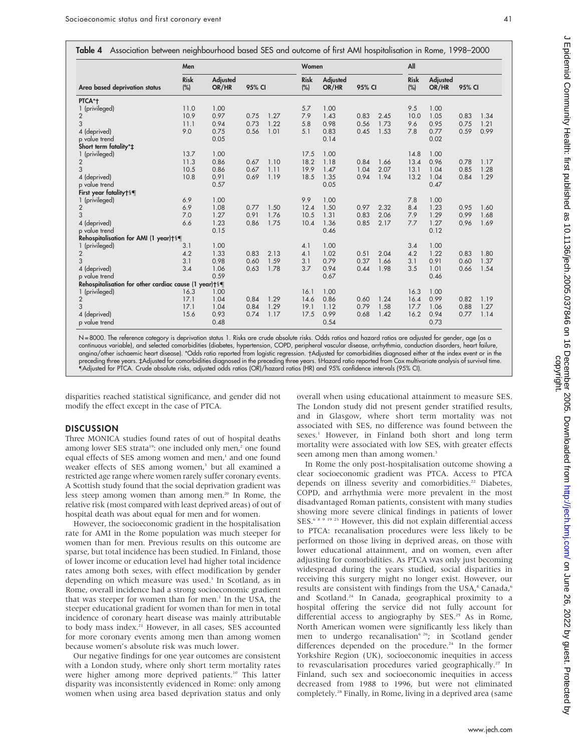Table 4 Association between neighbourhood based SES and outcome of first AMI hospitalisation in Rome, 1998–2000

|                                                       | Men                |                   |        |      |                    | Women                    |        |      |                    | All               |        |      |  |
|-------------------------------------------------------|--------------------|-------------------|--------|------|--------------------|--------------------------|--------|------|--------------------|-------------------|--------|------|--|
| Area based deprivation status                         | <b>Risk</b><br>(%) | Adjusted<br>OR/HR | 95% CI |      | <b>Risk</b><br>(%) | <b>Adjusted</b><br>OR/HR | 95% CI |      | <b>Risk</b><br>(%) | Adjusted<br>OR/HR | 95% CI |      |  |
| PTCA*+                                                |                    |                   |        |      |                    |                          |        |      |                    |                   |        |      |  |
| 1 (privileged)                                        | 11.0               | 1.00              |        |      | 5.7                | 1.00                     |        |      | 9.5                | 1.00              |        |      |  |
| $\overline{2}$                                        | 10.9               | 0.97              | 0.75   | 1.27 | 7.9                | 1.43                     | 0.83   | 2.45 | 10.0               | 1.05              | 0.83   | 1.34 |  |
| 3                                                     | 11.1               | 0.94              | 0.73   | 1.22 | 5.8                | 0.98                     | 0.56   | 1.73 | 9.6                | 0.95              | 0.75   | 1.21 |  |
| 4 (deprived)                                          | 9.0                | 0.75              | 0.56   | 1.01 | 5.1                | 0.83                     | 0.45   | 1.53 | 7.8                | 0.77              | 0.59   | 0.99 |  |
| p value trend                                         |                    | 0.05              |        |      |                    | 0.14                     |        |      |                    | 0.02              |        |      |  |
| Short term fatality*±                                 |                    |                   |        |      |                    |                          |        |      |                    |                   |        |      |  |
| 1 (privileged)                                        | 13.7               | 1.00              |        |      | 17.5               | 1.00                     |        |      | 14.8               | 1.00              |        |      |  |
| $\overline{2}$                                        | 11.3               | 0.86              | 0.67   | 1.10 | 18.2               | 1.18                     | 0.84   | 1.66 | 13.4               | 0.96              | 0.78   | 1.17 |  |
| 3                                                     | 10.5               | 0.86              | 0.67   | 1.11 | 19.9               | 1.47                     | 1.04   | 2.07 | 13.1               | 1.04              | 0.85   | 1.28 |  |
| 4 (deprived)                                          | 10.8               | 0.91              | 0.69   | 1.19 | 18.5               | 1.35                     | 0.94   | 1.94 | 13.2               | 1.04              | 0.84   | 1.29 |  |
| p value trend                                         |                    | 0.57              |        |      |                    | 0.05                     |        |      |                    | 0.47              |        |      |  |
| First year fatality†§¶                                |                    |                   |        |      |                    |                          |        |      |                    |                   |        |      |  |
| 1 (privileged)                                        | 6.9                | 1.00              |        |      | 9.9                | 1.00                     |        |      | 7.8                | 1.00              |        |      |  |
| $\overline{2}$                                        | 6.9                | 1.08              | 0.77   | 1.50 | 12.4               | 1.50                     | 0.97   | 2.32 | 8.4                | 1.23              | 0.95   | 1.60 |  |
| 3                                                     | 7.0                | 1.27              | 0.91   | 1.76 | 10.5               | 1.31                     | 0.83   | 2.06 | 7.9                | 1.29              | 0.99   | 1.68 |  |
| 4 (deprived)                                          | 6.6                | 1.23              | 0.86   | 1.75 | 10.4               | 1.36                     | 0.85   | 2.17 | 7.7                | 1.27              | 0.96   | 1.69 |  |
| p value trend                                         |                    | 0.15              |        |      |                    | 0.46                     |        |      |                    | 0.12              |        |      |  |
| Rehospitalisation for AMI (1 year)†§¶                 |                    |                   |        |      |                    |                          |        |      |                    |                   |        |      |  |
| 1 (privileged)                                        | 3.1                | 1.00              |        |      | 4.1                | 1.00                     |        |      | 3.4                | 1.00              |        |      |  |
| $\overline{2}$                                        | 4.2                | 1.33              | 0.83   | 2.13 | 4.1                | 1.02                     | 0.51   | 2.04 | 4.2                | 1.22              | 0.83   | 1.80 |  |
| 3                                                     | 3.1                | 0.98              | 0.60   | 1.59 | 3.1                | 0.79                     | 0.37   | 1.66 | 3.1                | 0.91              | 0.60   | 1.37 |  |
| 4 (deprived)                                          | 3.4                | 1.06              | 0.63   | 1.78 | 3.7                | 0.94                     | 0.44   | 1.98 | 3.5                | 1.01              | 0.66   | 1.54 |  |
| p value trend                                         |                    | 0.59              |        |      |                    | 0.67                     |        |      |                    | 0.46              |        |      |  |
| Rehospitalisation for other cardiac cause (1 year)+§¶ |                    |                   |        |      |                    |                          |        |      |                    |                   |        |      |  |
| 1 (privileged)                                        | 16.3               | 1.00              |        |      | 16.1               | 1.00                     |        |      | 16.3               | 1.00              |        |      |  |
| $\overline{2}$                                        | 17.1               | 1.04              | 0.84   | 1.29 | 14.6               | 0.86                     | 0.60   | 1.24 | 16.4               | 0.99              | 0.82   | 1.19 |  |
| 3                                                     | 17.1               | 1.04              | 0.84   | 1.29 | 19.1               | 1.12                     | 0.79   | 1.58 | 17.7               | 1.06              | 0.88   | 1.27 |  |
| 4 (deprived)                                          | 15.6               | 0.93              | 0.74   | 1.17 | 17.5               | 0.99                     | 0.68   | 1.42 | 16.2               | 0.94              | 0.77   | 1.14 |  |
| p value trend                                         |                    | 0.48              |        |      |                    | 0.54                     |        |      |                    | 0.73              |        |      |  |

N = 8000. The reference category is deprivation status 1. Risks are crude absolute risks. Odds ratios and hazard ratios are adjusted for gender, age (as a continuous variable), and selected comorbidities (diabetes, hypertension, COPD, peripheral vascular disease, arrhythmia, conduction disorders, heart failure, angina/other ischaemic heart disease). \*Odds ratio reported from logistic regression. Adjusted for comorbidities diagnosed either at the index event or in the preceding three years. ‡Adjusted for comorbidities diagnosed in the preceding three years. §Hazard ratio reported from Cox multivariate analysis of survival time. -Adjusted for PTCA. Crude absolute risks, adjusted odds ratios (OR)/hazard ratios (HR) and 95% confidence intervals (95% CI).

disparities reached statistical significance, and gender did not modify the effect except in the case of PTCA.

### **DISCUSSION**

Three MONICA studies found rates of out of hospital deaths among lower SES strata<sup>19</sup>: one included only men,<sup>2</sup> one found equal effects of SES among women and men,<sup>1</sup> and one found weaker effects of SES among women,<sup>3</sup> but all examined a restricted age range where women rarely suffer coronary events. A Scottish study found that the social deprivation gradient was less steep among women than among men.20 In Rome, the relative risk (most compared with least deprived areas) of out of hospital death was about equal for men and for women.

However, the socioeconomic gradient in the hospitalisation rate for AMI in the Rome population was much steeper for women than for men. Previous results on this outcome are sparse, but total incidence has been studied. In Finland, those of lower income or education level had higher total incidence rates among both sexes, with effect modification by gender depending on which measure was used.<sup>3</sup> In Scotland, as in Rome, overall incidence had a strong socioeconomic gradient that was steeper for women than for men.<sup>1</sup> In the USA, the steeper educational gradient for women than for men in total incidence of coronary heart disease was mainly attributable to body mass index.<sup>21</sup> However, in all cases, SES accounted for more coronary events among men than among women because women's absolute risk was much lower.

Our negative findings for one year outcomes are consistent with a London study, where only short term mortality rates were higher among more deprived patients.<sup>10</sup> This latter disparity was inconsistently evidenced in Rome: only among women when using area based deprivation status and only

overall when using educational attainment to measure SES. The London study did not present gender stratified results, and in Glasgow, where short term mortality was not associated with SES, no difference was found between the sexes.<sup>1</sup> However, in Finland both short and long term mortality were associated with low SES, with greater effects seen among men than among women.<sup>3</sup>

In Rome the only post-hospitalisation outcome showing a clear socioeconomic gradient was PTCA. Access to PTCA depends on illness severity and comorbidities.<sup>22</sup> Diabetes, COPD, and arrhythmia were more prevalent in the most disadvantaged Roman patients, consistent with many studies showing more severe clinical findings in patients of lower SES.<sup>6 8 9 19 23</sup> However, this did not explain differential access to PTCA: recanalisation procedures were less likely to be performed on those living in deprived areas, on those with lower educational attainment, and on women, even after adjusting for comorbidities. As PTCA was only just becoming widespread during the years studied, social disparities in receiving this surgery might no longer exist. However, our results are consistent with findings from the USA,<sup>8</sup> Canada,<sup>6</sup> and Scotland.24 In Canada, geographical proximity to a hospital offering the service did not fully account for differential access to angiography by SES.<sup>25</sup> As in Rome, North American women were significantly less likely than men to undergo recanalisation<sup>6 26</sup>; in Scotland gender differences depended on the procedure.<sup>24</sup> In the former Yorkshire Region (UK), socioeconomic inequities in access to revascularisation procedures varied geographically.<sup>27</sup> In Finland, such sex and socioeconomic inequities in access decreased from 1988 to 1996, but were not eliminated completely.28 Finally, in Rome, living in a deprived area (same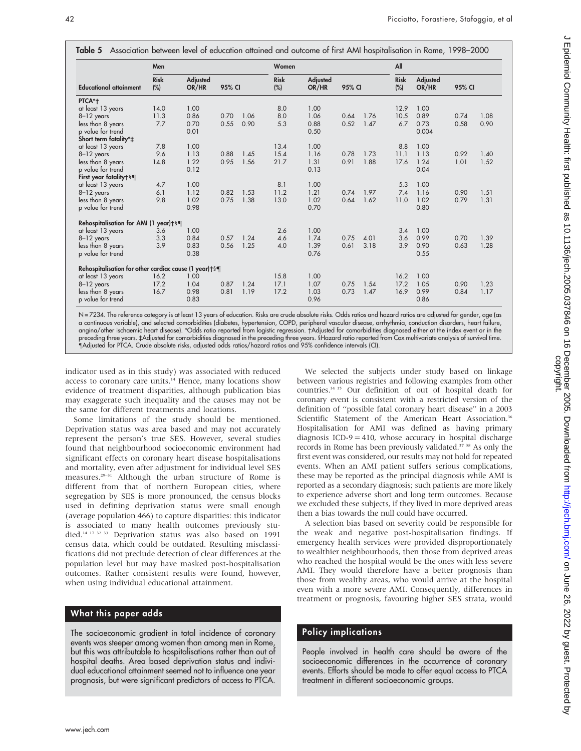|                                                                 | Men                |                          |        |      | Women                 |                          |        |      | All                   |                          |        |      |
|-----------------------------------------------------------------|--------------------|--------------------------|--------|------|-----------------------|--------------------------|--------|------|-----------------------|--------------------------|--------|------|
| <b>Educational attainment</b>                                   | <b>Risk</b><br>(%) | <b>Adjusted</b><br>OR/HR | 95% CI |      | <b>Risk</b><br>$(\%)$ | <b>Adjusted</b><br>OR/HR | 95% CI |      | <b>Risk</b><br>$(\%)$ | <b>Adjusted</b><br>OR/HR | 95% CI |      |
| PTCA*+                                                          |                    |                          |        |      |                       |                          |        |      |                       |                          |        |      |
| at least 13 years                                               | 14.0               | 1.00                     |        |      | 8.0                   | 1.00                     |        |      | 12.9                  | 1.00                     |        |      |
| 8-12 years                                                      | 11.3               | 0.86                     | 0.70   | 1.06 | 8.0                   | 1.06                     | 0.64   | 1.76 | 10.5                  | 0.89                     | 0.74   | 1.08 |
| less than 8 years                                               | 7.7                | 0.70                     | 0.55   | 0.90 | 5.3                   | 0.88                     | 0.52   | 1.47 | 6.7                   | 0.73                     | 0.58   | 0.90 |
| p value for trend                                               |                    | 0.01                     |        |      |                       | 0.50                     |        |      |                       | 0.004                    |        |      |
| Short term fatality*±                                           |                    |                          |        |      |                       |                          |        |      |                       |                          |        |      |
| at least 13 years                                               | 7.8                | 1.00                     |        |      | 13.4                  | 1.00                     |        |      | 8.8                   | 1.00                     |        |      |
| $8-12$ years                                                    | 9.6                | 1.13                     | 0.88   | 1.45 | 15.4                  | 1.16                     | 0.78   | 1.73 | 11.1                  | 1.13                     | 0.92   | 1.40 |
| less than 8 years                                               | 14.8               | 1.22                     | 0.95   | 1.56 | 21.7                  | 1.31                     | 0.91   | 1.88 | 17.6                  | 1.24                     | 1.01   | 1.52 |
| p value for trend                                               |                    | 0.12                     |        |      |                       | 0.13                     |        |      |                       | 0.04                     |        |      |
| First year fatality†§¶                                          |                    |                          |        |      |                       |                          |        |      |                       |                          |        |      |
| at least 13 years                                               | 4.7                | 1.00                     |        |      | 8.1                   | 1.00                     |        |      | 5.3                   | 1.00                     |        |      |
| $8-12$ years                                                    | 6.1                | 1.12                     | 0.82   | 1.53 | 11.2                  | 1.21                     | 0.74   | 1.97 | 7.4                   | 1.16                     | 0.90   | 1.51 |
| less than 8 years                                               | 9.8                | 1.02                     | 0.75   | 1.38 | 13.0                  | 1.02                     | 0.64   | 1.62 | 11.0                  | 1.02                     | 0.79   | 1.31 |
| p value for trend                                               |                    | 0.98                     |        |      |                       | 0.70                     |        |      |                       | 0.80                     |        |      |
| Rehospitalisation for AMI (1 year)+§¶                           |                    |                          |        |      |                       |                          |        |      |                       |                          |        |      |
| at least 13 years                                               | 3.6                | 1.00                     |        |      | 2.6                   | 1.00                     |        |      | 3.4                   | 1.00                     |        |      |
| 8-12 years                                                      | 3.3                | 0.84                     | 0.57   | 1.24 | 4.6                   | 1.74                     | 0.75   | 4.01 | 3.6                   | 0.99                     | 0.70   | 1.39 |
| less than 8 years                                               | 3.9                | 0.83                     | 0.56   | 1.25 | 4.0                   | 1.39                     | 0.61   | 3.18 | 3.9                   | 0.90                     | 0.63   | 1.28 |
| p value for trend                                               |                    | 0.38                     |        |      |                       | 0.76                     |        |      |                       | 0.55                     |        |      |
| Rehospitalisation for other cardiac cause (1 year) $\dagger$ §¶ |                    |                          |        |      |                       |                          |        |      |                       |                          |        |      |
| at least 13 years                                               | 16.2               | 1.00                     |        |      | 15.8                  | 1.00                     |        |      | 16.2                  | 1.00                     |        |      |
| 8-12 years                                                      | 17.2               | 1.04                     | 0.87   | 1.24 | 17.1                  | 1.07                     | 0.75   | 1.54 | 17.2                  | 1.05                     | 0.90   | 1.23 |
| less than 8 years                                               | 16.7               | 0.98                     | 0.81   | 1.19 | 17.2                  | 1.03                     | 0.73   | 1.47 | 16.9                  | 0.99                     | 0.84   | 1.17 |
| p value for trend                                               |                    | 0.83                     |        |      |                       | 0.96                     |        |      |                       | 0.86                     |        |      |

N = 7234. The reference category is at least 13 years of education. Risks are crude absolute risks. Odds ratios and hazard ratios are adjusted for gender, age (as a continuous variable), and selected comorbidities (diabetes, hypertension, COPD, peripheral vascular disease, arrhythmia, conduction disorders, heart failure, angina/other ischaemic heart disease). \*Odds ratio reported from logistic regression. Adjusted for comorbidities diagnosed either at the index event or in the preceding three years. ‡Adjusted for comorbidities diagnosed in the preceding three years. SHazard ratio reported from Cox multivariate analysis of survival time. -Adjusted for PTCA. Crude absolute risks, adjusted odds ratios/hazard ratios and 95% confidence intervals (CI).

indicator used as in this study) was associated with reduced access to coronary care units.<sup>14</sup> Hence, many locations show evidence of treatment disparities, although publication bias may exaggerate such inequality and the causes may not be the same for different treatments and locations.

Some limitations of the study should be mentioned. Deprivation status was area based and may not accurately represent the person's true SES. However, several studies found that neighbourhood socioeconomic environment had significant effects on coronary heart disease hospitalisations and mortality, even after adjustment for individual level SES measures.<sup>29-31</sup> Although the urban structure of Rome is different from that of northern European cities, where segregation by SES is more pronounced, the census blocks used in defining deprivation status were small enough (average population 466) to capture disparities: this indicator is associated to many health outcomes previously studied.14 17 32 33 Deprivation status was also based on 1991 census data, which could be outdated. Resulting misclassifications did not preclude detection of clear differences at the population level but may have masked post-hospitalisation outcomes. Rather consistent results were found, however, when using individual educational attainment.

### What this paper adds

The socioeconomic gradient in total incidence of coronary events was steeper among women than among men in Rome, but this was attributable to hospitalisations rather than out of hospital deaths. Area based deprivation status and individual educational attainment seemed not to influence one year prognosis, but were significant predictors of access to PTCA.

We selected the subjects under study based on linkage between various registries and following examples from other countries.34 35 Our definition of out of hospital death for coronary event is consistent with a restricted version of the definition of ''possible fatal coronary heart disease'' in a 2003 Scientific Statement of the American Heart Association.<sup>36</sup> Hospitalisation for AMI was defined as having primary diagnosis ICD-9 = 410, whose accuracy in hospital discharge records in Rome has been previously validated.<sup>37</sup> <sup>38</sup> As only the first event was considered, our results may not hold for repeated events. When an AMI patient suffers serious complications, these may be reported as the principal diagnosis while AMI is reported as a secondary diagnosis; such patients are more likely to experience adverse short and long term outcomes. Because we excluded these subjects, if they lived in more deprived areas then a bias towards the null could have occurred.

A selection bias based on severity could be responsible for the weak and negative post-hospitalisation findings. If emergency health services were provided disproportionately to wealthier neighbourhoods, then those from deprived areas who reached the hospital would be the ones with less severe AMI. They would therefore have a better prognosis than those from wealthy areas, who would arrive at the hospital even with a more severe AMI. Consequently, differences in treatment or prognosis, favouring higher SES strata, would

### Policy implications

People involved in health care should be aware of the socioeconomic differences in the occurrence of coronary events. Efforts should be made to offer equal access to PTCA treatment in different socioeconomic groups.